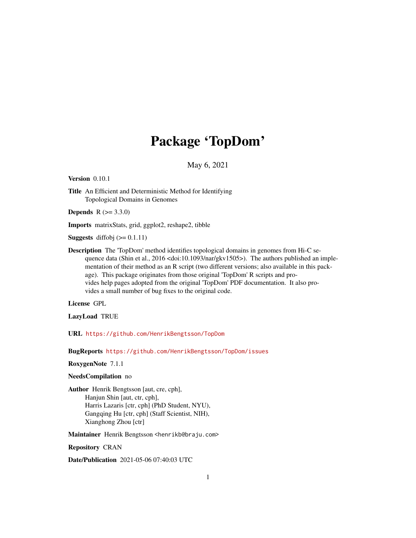# Package 'TopDom'

May 6, 2021

<span id="page-0-0"></span>Version 0.10.1

Title An Efficient and Deterministic Method for Identifying Topological Domains in Genomes

**Depends**  $R (= 3.3.0)$ 

Imports matrixStats, grid, ggplot2, reshape2, tibble

**Suggests** diffobj  $(>= 0.1.11)$ 

Description The 'TopDom' method identifies topological domains in genomes from Hi-C sequence data (Shin et al., 2016 <doi:10.1093/nar/gkv1505>). The authors published an implementation of their method as an R script (two different versions; also available in this package). This package originates from those original 'TopDom' R scripts and provides help pages adopted from the original 'TopDom' PDF documentation. It also provides a small number of bug fixes to the original code.

License GPL

LazyLoad TRUE

URL <https://github.com/HenrikBengtsson/TopDom>

BugReports <https://github.com/HenrikBengtsson/TopDom/issues>

RoxygenNote 7.1.1

#### NeedsCompilation no

Author Henrik Bengtsson [aut, cre, cph], Hanjun Shin [aut, ctr, cph], Harris Lazaris [ctr, cph] (PhD Student, NYU), Gangqing Hu [ctr, cph] (Staff Scientist, NIH), Xianghong Zhou [ctr]

Maintainer Henrik Bengtsson <henrikb@braju.com>

Repository CRAN

Date/Publication 2021-05-06 07:40:03 UTC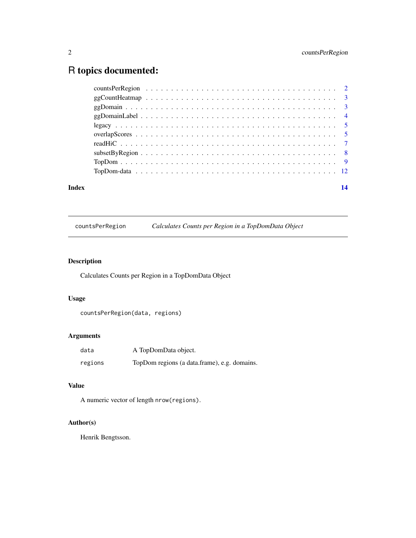## <span id="page-1-0"></span>R topics documented:

| Index |  |  |  |  |  |  |  |  |  |  |  |  |  | 14 |
|-------|--|--|--|--|--|--|--|--|--|--|--|--|--|----|
|       |  |  |  |  |  |  |  |  |  |  |  |  |  |    |
|       |  |  |  |  |  |  |  |  |  |  |  |  |  |    |
|       |  |  |  |  |  |  |  |  |  |  |  |  |  |    |
|       |  |  |  |  |  |  |  |  |  |  |  |  |  |    |
|       |  |  |  |  |  |  |  |  |  |  |  |  |  |    |
|       |  |  |  |  |  |  |  |  |  |  |  |  |  |    |
|       |  |  |  |  |  |  |  |  |  |  |  |  |  |    |
|       |  |  |  |  |  |  |  |  |  |  |  |  |  |    |
|       |  |  |  |  |  |  |  |  |  |  |  |  |  |    |
|       |  |  |  |  |  |  |  |  |  |  |  |  |  |    |

countsPerRegion *Calculates Counts per Region in a TopDomData Object*

### Description

Calculates Counts per Region in a TopDomData Object

#### Usage

```
countsPerRegion(data, regions)
```
#### Arguments

| data    | A TopDomData object.                         |
|---------|----------------------------------------------|
| regions | TopDom regions (a data frame), e.g. domains. |

#### Value

A numeric vector of length nrow(regions).

#### Author(s)

Henrik Bengtsson.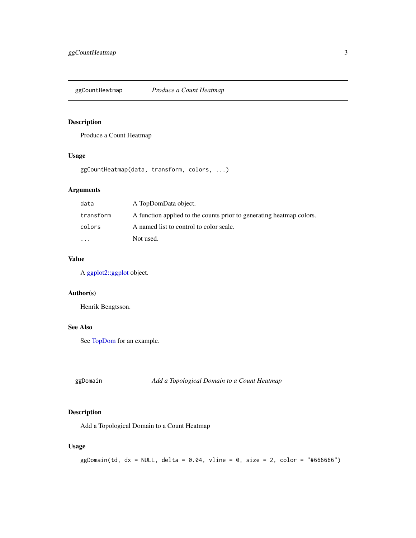<span id="page-2-0"></span>

#### Description

Produce a Count Heatmap

#### Usage

ggCountHeatmap(data, transform, colors, ...)

#### Arguments

| data      | A TopDomData object.                                                 |
|-----------|----------------------------------------------------------------------|
| transform | A function applied to the counts prior to generating heatmap colors. |
| colors    | A named list to control to color scale.                              |
| $\cdot$   | Not used.                                                            |

#### Value

A [ggplot2::ggplot](#page-0-0) object.

#### Author(s)

Henrik Bengtsson.

#### See Also

See [TopDom](#page-8-1) for an example.

ggDomain *Add a Topological Domain to a Count Heatmap*

#### Description

Add a Topological Domain to a Count Heatmap

#### Usage

 $ggDomain(td, dx = NULL, delta = 0.04, vline = 0, size = 2, color = "#666666")$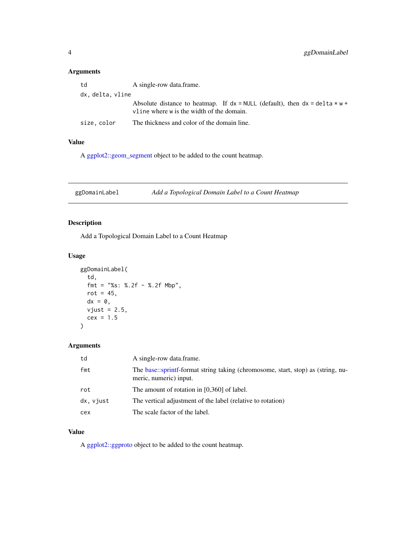#### <span id="page-3-0"></span>Arguments

| td               | A single-row data.frame.                                                                                                     |
|------------------|------------------------------------------------------------------------------------------------------------------------------|
| dx, delta, vline |                                                                                                                              |
|                  | Absolute distance to heatmap. If $dx = NULL$ (default), then $dx = delta * w +$<br>vline where w is the width of the domain. |
| size, color      | The thickness and color of the domain line.                                                                                  |

#### Value

A [ggplot2::geom\\_segment](#page-0-0) object to be added to the count heatmap.

ggDomainLabel *Add a Topological Domain Label to a Count Heatmap*

#### Description

Add a Topological Domain Label to a Count Heatmap

#### Usage

```
ggDomainLabel(
  td,
  fmt = "%s: %.2f - %.2f Mbp",
  rot = 45,
 dx = 0,
 vjust = 2.5,
  cex = 1.5)
```
#### Arguments

| td        | A single-row data frame.                                                                                   |
|-----------|------------------------------------------------------------------------------------------------------------|
| fmt       | The base::sprintf-format string taking (chromosome, start, stop) as (string, nu-<br>meric, numeric) input. |
| rot       | The amount of rotation in $[0,360]$ of label.                                                              |
| dx, vjust | The vertical adjustment of the label (relative to rotation)                                                |
| cex       | The scale factor of the label.                                                                             |
|           |                                                                                                            |

#### Value

A [ggplot2::ggproto](#page-0-0) object to be added to the count heatmap.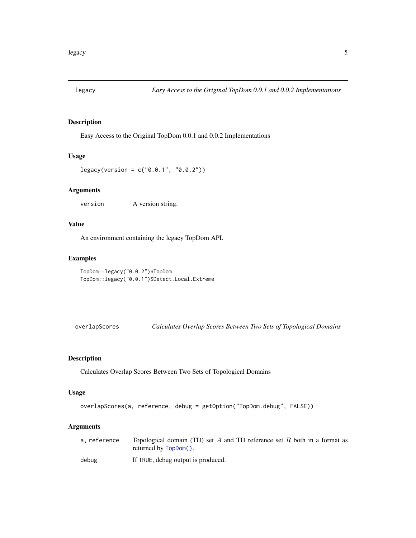<span id="page-4-0"></span>

#### Description

Easy Access to the Original TopDom 0.0.1 and 0.0.2 Implementations

#### Usage

```
legacy(version = c("0.0.1", "0.0.2"))
```
#### Arguments

version A version string.

#### Value

An environment containing the legacy TopDom API.

#### Examples

```
TopDom::legacy("0.0.2")$TopDom
TopDom::legacy("0.0.1")$Detect.Local.Extreme
```
overlapScores *Calculates Overlap Scores Between Two Sets of Topological Domains*

#### Description

Calculates Overlap Scores Between Two Sets of Topological Domains

#### Usage

```
overlapScores(a, reference, debug = getOption("TopDom.debug", FALSE))
```
#### Arguments

| a. reference | Topological domain (TD) set A and TD reference set R both in a format as<br>returned by TopDom(). |
|--------------|---------------------------------------------------------------------------------------------------|
| debug        | If TRUE, debug output is produced.                                                                |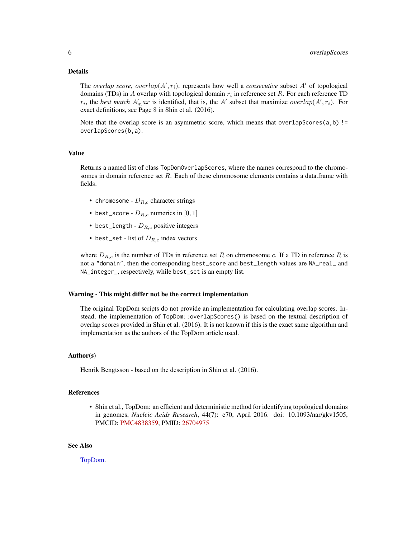#### <span id="page-5-0"></span>Details

The *overlap score*, *overlap* $(A', r_i)$ , represents how well a *consecutive* subset  $A'$  of topological domains (TDs) in A overlap with topological domain  $r_i$  in reference set R. For each reference TD  $r_i$ , the *best match*  $A'_m$  ax is identified, that is, the A' subset that maximize *overlap*( $A', r_i$ ). For exact definitions, see Page 8 in Shin et al. (2016).

Note that the overlap score is an asymmetric score, which means that overlapScores $(a,b)$  != overlapScores(b,a).

#### Value

Returns a named list of class TopDomOverlapScores, where the names correspond to the chromosomes in domain reference set R. Each of these chromosome elements contains a data.frame with fields:

- chromosome  $D_{R,c}$  character strings
- best\_score  $D_{R,c}$  numerics in [0, 1]
- best\_length  $D_{R,c}$  positive integers
- best\_set list of  $D_{R,c}$  index vectors

where  $D_{R,c}$  is the number of TDs in reference set R on chromosome c. If a TD in reference R is not a "domain", then the corresponding best\_score and best\_length values are NA\_real\_ and NA\_integer\_, respectively, while best\_set is an empty list.

#### Warning - This might differ not be the correct implementation

The original TopDom scripts do not provide an implementation for calculating overlap scores. Instead, the implementation of TopDom::overlapScores() is based on the textual description of overlap scores provided in Shin et al. (2016). It is not known if this is the exact same algorithm and implementation as the authors of the TopDom article used.

#### Author(s)

Henrik Bengtsson - based on the description in Shin et al. (2016).

#### References

• Shin et al., TopDom: an efficient and deterministic method for identifying topological domains in genomes, *Nucleic Acids Research*, 44(7): e70, April 2016. doi: 10.1093/nar/gkv1505, PMCID: [PMC4838359,](https://www.ncbi.nlm.nih.gov/pmc/articles/PMC4838359/) PMID: [26704975](https://pubmed.ncbi.nlm.nih.gov/26704975/)

#### See Also

[TopDom.](#page-8-1)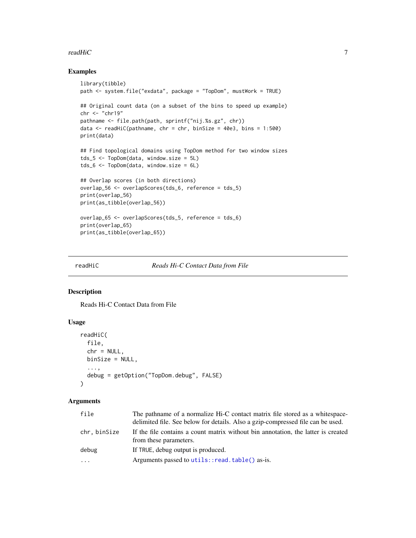#### <span id="page-6-0"></span>readHiC 2008 and 2008 and 2008 and 2008 and 2008 and 2008 and 2008 and 2008 and 2008 and 2008 and 2008 and 200

#### Examples

```
library(tibble)
path <- system.file("exdata", package = "TopDom", mustWork = TRUE)
## Original count data (on a subset of the bins to speed up example)
chr <- "chr19"
pathname <- file.path(path, sprintf("nij.%s.gz", chr))
data \leq readHiC(pathname, chr = chr, binSize = 40e3, bins = 1:500)
print(data)
## Find topological domains using TopDom method for two window sizes
tds_5 <- TopDom(data, window.size = 5L)
tds_6 <- TopDom(data, window.size = 6L)
## Overlap scores (in both directions)
overlap_56 <- overlapScores(tds_6, reference = tds_5)
print(overlap_56)
print(as_tibble(overlap_56))
overlap_65 <- overlapScores(tds_5, reference = tds_6)
print(overlap_65)
print(as_tibble(overlap_65))
```
<span id="page-6-1"></span>readHiC *Reads Hi-C Contact Data from File*

#### Description

Reads Hi-C Contact Data from File

#### Usage

```
readHiC(
  file,
  chr = NULL,
 binSize = NULL,
  ...,
  debug = getOption("TopDom.debug", FALSE)
)
```
#### Arguments

| file        | The pathname of a normalize Hi-C contact matrix file stored as a whitespace-                                |
|-------------|-------------------------------------------------------------------------------------------------------------|
|             | delimited file. See below for details. Also a gzip-compressed file can be used.                             |
| chr.binSize | If the file contains a count matrix without bin annotation, the latter is created<br>from these parameters. |
| debug       | If TRUE, debug output is produced.                                                                          |
| $\cdots$    | Arguments passed to utils::read.table() as-is.                                                              |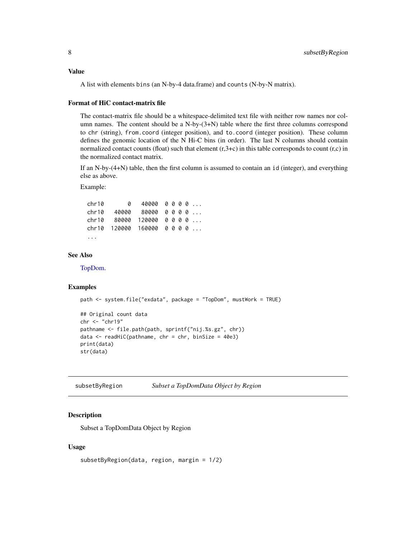<span id="page-7-0"></span>A list with elements bins (an N-by-4 data.frame) and counts (N-by-N matrix).

#### Format of HiC contact-matrix file

The contact-matrix file should be a whitespace-delimited text file with neither row names nor column names. The content should be a N-by-(3+N) table where the first three columns correspond to chr (string), from.coord (integer position), and to.coord (integer position). These column defines the genomic location of the N Hi-C bins (in order). The last N columns should contain normalized contact counts (float) such that element  $(r,3+c)$  in this table corresponds to count  $(r,c)$  in the normalized contact matrix.

If an N-by-(4+N) table, then the first column is assumed to contain an id (integer), and everything else as above.

Example:

chr10 0 40000 0 0 0 0 ... chr10 40000 80000 0 0 0 0 ... chr10 80000 120000 0 0 0 0 ... chr10 120000 160000 0 0 0 0 ... ...

#### See Also

[TopDom.](#page-8-1)

#### Examples

```
path <- system.file("exdata", package = "TopDom", mustWork = TRUE)
## Original count data
chr <- "chr19"
pathname <- file.path(path, sprintf("nij.%s.gz", chr))
data <- readHiC(pathname, chr = chr, binSize = 40e3)
print(data)
str(data)
```
subsetByRegion *Subset a TopDomData Object by Region*

#### Description

Subset a TopDomData Object by Region

#### Usage

```
subsetByRegion(data, region, margin = 1/2)
```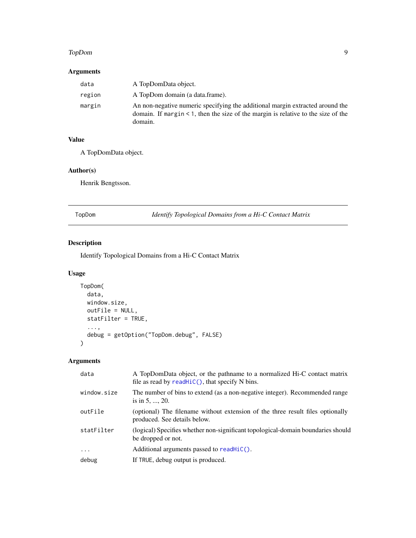#### <span id="page-8-0"></span>TopDom 9

#### Arguments

| data   | A TopDomData object.                                                                                                                                                                |
|--------|-------------------------------------------------------------------------------------------------------------------------------------------------------------------------------------|
| region | A TopDom domain (a data.frame).                                                                                                                                                     |
| margin | An non-negative numeric specifying the additional margin extracted around the<br>domain. If margin $\leq 1$ , then the size of the margin is relative to the size of the<br>domain. |

#### Value

A TopDomData object.

#### Author(s)

Henrik Bengtsson.

<span id="page-8-1"></span>TopDom *Identify Topological Domains from a Hi-C Contact Matrix*

#### Description

Identify Topological Domains from a Hi-C Contact Matrix

#### Usage

```
TopDom(
 data,
 window.size,
 outFile = NULL,
  statFilter = TRUE,
  ...,
 debug = getOption("TopDom.debug", FALSE)
)
```
#### Arguments

| data        | A TopDomData object, or the pathname to a normalized Hi-C contact matrix<br>file as read by $readHiC()$ , that specify N bins. |
|-------------|--------------------------------------------------------------------------------------------------------------------------------|
| window.size | The number of bins to extend (as a non-negative integer). Recommended range<br>is in $5, \ldots, 20$ .                         |
| outFile     | (optional) The filename without extension of the three result files optionally<br>produced. See details below.                 |
| statFilter  | (logical) Specifies whether non-significant topological-domain boundaries should<br>be dropped or not.                         |
| $\cdots$    | Additional arguments passed to $readHiC()$ .                                                                                   |
| debug       | If TRUE, debug output is produced.                                                                                             |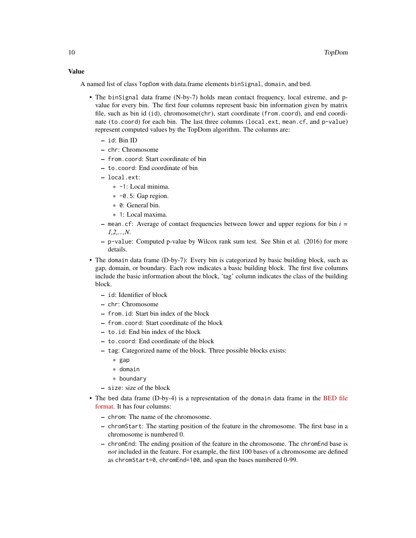#### Value

A named list of class TopDom with data.frame elements binSignal, domain, and bed.

- The binSignal data frame (N-by-7) holds mean contact frequency, local extreme, and pvalue for every bin. The first four columns represent basic bin information given by matrix file, such as bin id (id), chromosome(chr), start coordinate (from.coord), and end coordinate (to.coord) for each bin. The last three columns (local.ext, mean.cf, and p-value) represent computed values by the TopDom algorithm. The columns are:
	- id: Bin ID
	- chr: Chromosome
	- from.coord: Start coordinate of bin
	- to.coord: End coordinate of bin
	- local.ext:
		- \* -1: Local minima.
		- $\ast$  -0.5: Gap region.
		- \* 0: General bin.
		- \* 1: Local maxima.
	- mean.cf: Average of contact frequencies between lower and upper regions for bin *i = 1,2,...,N*.
	- p-value: Computed p-value by Wilcox rank sum test. See Shin et al. (2016) for more details.
- The domain data frame (D-by-7): Every bin is categorized by basic building block, such as gap, domain, or boundary. Each row indicates a basic building block. The first five columns include the basic information about the block, 'tag' column indicates the class of the building block.
	- id: Identifier of block
	- chr: Chromosome
	- from.id: Start bin index of the block
	- from.coord: Start coordinate of the block
	- to.id: End bin index of the block
	- to.coord: End coordinate of the block
	- tag: Categorized name of the block. Three possible blocks exists:
		- \* gap
		- \* domain
		- \* boundary
	- size: size of the block
- The bed data frame (D-by-4) is a representation of the domain data frame in the [BED file](https://genome.ucsc.edu/FAQ/FAQformat.html#format1) [format.](https://genome.ucsc.edu/FAQ/FAQformat.html#format1) It has four columns:
	- chrom: The name of the chromosome.
	- chromStart: The starting position of the feature in the chromosome. The first base in a chromosome is numbered 0.
	- chromEnd: The ending position of the feature in the chromosome. The chromEnd base is *not* included in the feature. For example, the first 100 bases of a chromosome are defined as chromStart=0, chromEnd=100, and span the bases numbered 0-99.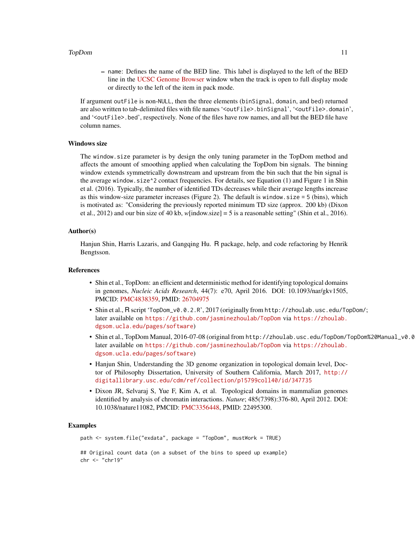#### TopDom and the state of the state of the state of the state of the state of the state of the state of the state of the state of the state of the state of the state of the state of the state of the state of the state of the

– name: Defines the name of the BED line. This label is displayed to the left of the BED line in the [UCSC Genome Browser](https://genome.ucsc.edu/cgi-bin/hgGateway) window when the track is open to full display mode or directly to the left of the item in pack mode.

If argument outFile is non-NULL, then the three elements (binSignal, domain, and bed) returned are also written to tab-delimited files with file names '<outFile>.binSignal', '<outFile>.domain', and '<outFile>.bed', respectively. None of the files have row names, and all but the BED file have column names.

#### Windows size

The window.size parameter is by design the only tuning parameter in the TopDom method and affects the amount of smoothing applied when calculating the TopDom bin signals. The binning window extends symmetrically downstream and upstream from the bin such that the bin signal is the average window.size^2 contact frequencies. For details, see Equation (1) and Figure 1 in Shin et al. (2016). Typically, the number of identified TDs decreases while their average lengths increase as this window-size parameter increases (Figure 2). The default is window. size  $= 5$  (bins), which is motivated as: "Considering the previously reported minimum TD size (approx. 200 kb) (Dixon et al., 2012) and our bin size of 40 kb, *w*[indow.size] = 5 is a reasonable setting" (Shin et al., 2016).

#### Author(s)

Hanjun Shin, Harris Lazaris, and Gangqing Hu. R package, help, and code refactoring by Henrik Bengtsson.

#### References

- Shin et al., TopDom: an efficient and deterministic method for identifying topological domains in genomes, *Nucleic Acids Research*, 44(7): e70, April 2016. DOI: 10.1093/nar/gkv1505, PMCID: [PMC4838359,](https://www.ncbi.nlm.nih.gov/pmc/articles/PMC4838359/) PMID: [26704975](https://pubmed.ncbi.nlm.nih.gov/26704975/)
- Shin et al., R script 'TopDom\_v0.0.2.R', 2017 (originally from http://zhoulab.usc.edu/TopDom/; later available on <https://github.com/jasminezhoulab/TopDom> via [https://zhoulab.](https://zhoulab.dgsom.ucla.edu/pages/software) [dgsom.ucla.edu/pages/software](https://zhoulab.dgsom.ucla.edu/pages/software))
- Shin et al., TopDom Manual, 2016-07-08 (original from http://zhoulab.usc.edu/TopDom/TopDom%20Manual\_v0.0 later available on <https://github.com/jasminezhoulab/TopDom> via [https://zhoulab.](https://zhoulab.dgsom.ucla.edu/pages/software) [dgsom.ucla.edu/pages/software](https://zhoulab.dgsom.ucla.edu/pages/software))
- Hanjun Shin, Understanding the 3D genome organization in topological domain level, Doctor of Philosophy Dissertation, University of Southern California, March 2017, [http://](http://digitallibrary.usc.edu/cdm/ref/collection/p15799coll40/id/347735) [digitallibrary.usc.edu/cdm/ref/collection/p15799coll40/id/347735](http://digitallibrary.usc.edu/cdm/ref/collection/p15799coll40/id/347735)
- Dixon JR, Selvaraj S, Yue F, Kim A, et al. Topological domains in mammalian genomes identified by analysis of chromatin interactions. *Nature*; 485(7398):376-80, April 2012. DOI: 10.1038/nature11082, PMCID: [PMC3356448,](https://www.ncbi.nlm.nih.gov/pmc/articles/PMC3356448/) PMID: 22495300.

#### Examples

path <- system.file("exdata", package = "TopDom", mustWork = TRUE) ## Original count data (on a subset of the bins to speed up example) chr <- "chr19"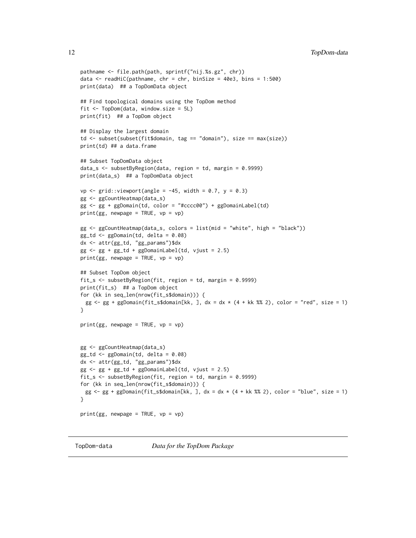```
pathname <- file.path(path, sprintf("nij.%s.gz", chr))
data \le readHiC(pathname, chr = chr, binSize = 40e3, bins = 1:500)
print(data) ## a TopDomData object
## Find topological domains using the TopDom method
fit <- TopDom(data, window.size = 5L)
print(fit) ## a TopDom object
## Display the largest domain
td <- subset(subset(fit$domain, tag == "domain"), size == max(size))
print(td) ## a data.frame
## Subset TopDomData object
data_s <- subsetByRegion(data, region = td, margin = 0.9999)
print(data_s) ## a TopDomData object
vp \langle- grid::viewport(angle = -45, width = 0.7, y = 0.3)
gg <- ggCountHeatmap(data_s)
gg <- gg + ggDomain(td, color = "#cccc00") + ggDomainLabel(td)
print(gg, newpage = TRUE, vp = vp)gg <- ggCountHeatmap(data_s, colors = list(mid = "white", high = "black"))
gg_td <- ggDomain(td, delta = 0.08)
dx <- attr(gg_td, "gg_params")$dx
gg \leq-gg + gg_t d + ggDomainLabel(td, vjust = 2.5)
print(gg, newpage = TRUE, vp = vp)## Subset TopDom object
fit_s <- subsetByRegion(fit, region = td, margin = 0.9999)
print(fit_s) ## a TopDom object
for (kk in seq_len(nrow(fit_s$domain))) {
 gg \leq gg + ggDomain(fit_s$domain[kk, ], dx = dx \star (4 + kk %% 2), color = "red", size = 1)
}
print(gg, newpage = TRUE, vp = vp)gg <- ggCountHeatmap(data_s)
gg_td <- ggDomain(td, delta = 0.08)
dx <- attr(gg_td, "gg_params")$dx
gg \leq-gg + gg_t d + ggDomainLabel(td, vjust = 2.5)
fit_s <- subsetByRegion(fit, region = td, margin = 0.9999)
for (kk in seq_len(nrow(fit_s$domain))) {
 gg \leftarrow gg + ggDomain(fit\_s$domain[kk, ], dx = dx * (4 + kk % 2), color = "blue", size = 1)}
print(gg, newpage = TRUE, vp = vp)
```
TopDom-data *Data for the TopDom Package*

<span id="page-11-0"></span>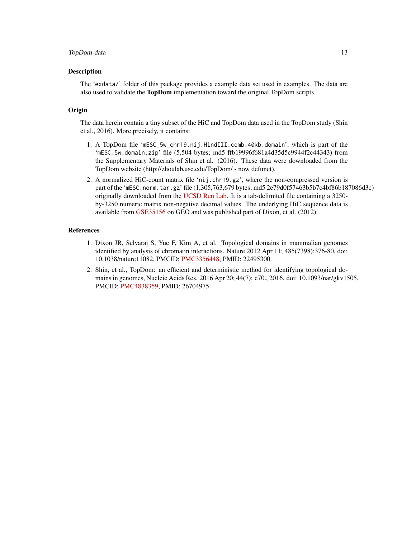#### TopDom-data 13

#### Description

The 'exdata/' folder of this package provides a example data set used in examples. The data are also used to validate the **TopDom** implementation toward the original TopDom scripts.

#### **Origin**

The data herein contain a tiny subset of the HiC and TopDom data used in the TopDom study (Shin et al., 2016). More precisely, it contains:

- 1. A TopDom file 'mESC\_5w\_chr19.nij.HindIII.comb.40kb.domain', which is part of the 'mESC\_5w\_domain.zip' file (5,504 bytes; md5 ffb19996f681a4d35d5c9944f2c44343) from the Supplementary Materials of Shin et al. (2016). These data were downloaded from the TopDom website (http://zhoulab.usc.edu/TopDom/ - now defunct).
- 2. A normalized HiC-count matrix file 'nij.chr19.gz', where the non-compressed version is part of the 'mESC.norm.tar.gz' file (1,305,763,679 bytes; md5 2e79d0f57463b5b7c4bf86b187086d3c) originally downloaded from the [UCSD Ren Lab.](http://chromosome.sdsc.edu/mouse/hi-c/download.html) It is a tab-delimited file containing a 3250 by-3250 numeric matrix non-negative decimal values. The underlying HiC sequence data is available from [GSE35156](https://www.ncbi.nlm.nih.gov/geo/query/acc.cgi?acc=GSE35156) on GEO and was published part of Dixon, et al. (2012).

#### References

- 1. Dixon JR, Selvaraj S, Yue F, Kim A, et al. Topological domains in mammalian genomes identified by analysis of chromatin interactions. Nature 2012 Apr 11; 485(7398):376-80, doi: 10.1038/nature11082, PMCID: [PMC3356448,](https://www.ncbi.nlm.nih.gov/pmc/articles/PMC3356448/) PMID: 22495300.
- 2. Shin, et al., TopDom: an efficient and deterministic method for identifying topological domains in genomes, Nucleic Acids Res. 2016 Apr 20; 44(7): e70., 2016. doi: 10.1093/nar/gkv1505, PMCID: [PMC4838359,](https://www.ncbi.nlm.nih.gov/pmc/articles/PMC4838359/) PMID: 26704975.